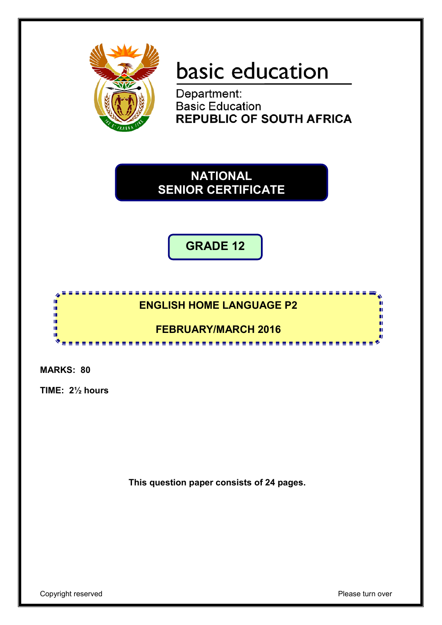

# basic education

Department: **Basic Education REPUBLIC OF SOUTH AFRICA** 

**NATIONAL SENIOR CERTIFICATE**

**GRADE 12**

#### **ENGLISH HOME LANGUAGE P2**

# **FEBRUARY/MARCH 2016**

**COLOR** 

----------------

**MARKS: 80**

4 喧 I. ΙĖ, ú, œ T.

**TIME: 2½ hours**

**This question paper consists of 24 pages.**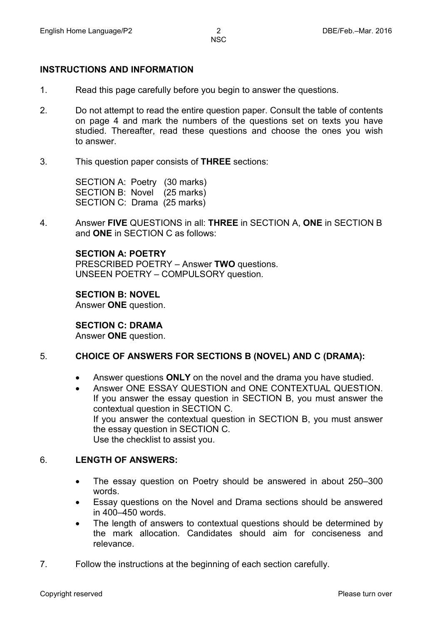#### **INSTRUCTIONS AND INFORMATION**

- 1. Read this page carefully before you begin to answer the questions.
- 2. Do not attempt to read the entire question paper. Consult the table of contents on page 4 and mark the numbers of the questions set on texts you have studied. Thereafter, read these questions and choose the ones you wish to answer.
- 3. This question paper consists of **THREE** sections:

SECTION A: Poetry (30 marks) SECTION B: Novel (25 marks) SECTION C: Drama (25 marks)

4. Answer **FIVE** QUESTIONS in all: **THREE** in SECTION A, **ONE** in SECTION B and **ONE** in SECTION C as follows:

#### **SECTION A: POETRY**

PRESCRIBED POETRY – Answer **TWO** questions. UNSEEN POETRY – COMPULSORY question.

#### **SECTION B: NOVEL**

Answer **ONE** question.

# **SECTION C: DRAMA**

Answer **ONE** question.

#### 5. **CHOICE OF ANSWERS FOR SECTIONS B (NOVEL) AND C (DRAMA):**

- Answer questions **ONLY** on the novel and the drama you have studied.
- Answer ONE ESSAY QUESTION and ONE CONTEXTUAL QUESTION. If you answer the essay question in SECTION B, you must answer the contextual question in SECTION C. If you answer the contextual question in SECTION B, you must answer the essay question in SECTION C. Use the checklist to assist you.

#### 6. **LENGTH OF ANSWERS:**

- The essay question on Poetry should be answered in about 250–300 words.
- Essay questions on the Novel and Drama sections should be answered in 400–450 words.
- The length of answers to contextual questions should be determined by the mark allocation. Candidates should aim for conciseness and relevance.
- 7. Follow the instructions at the beginning of each section carefully.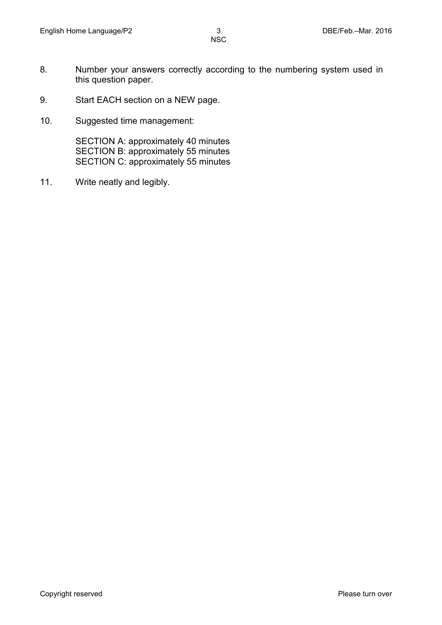- 8. Number your answers correctly according to the numbering system used in this question paper.
- 9. Start EACH section on a NEW page.
- 10. Suggested time management:

SECTION A: approximately 40 minutes SECTION B: approximately 55 minutes SECTION C: approximately 55 minutes

11. Write neatly and legibly.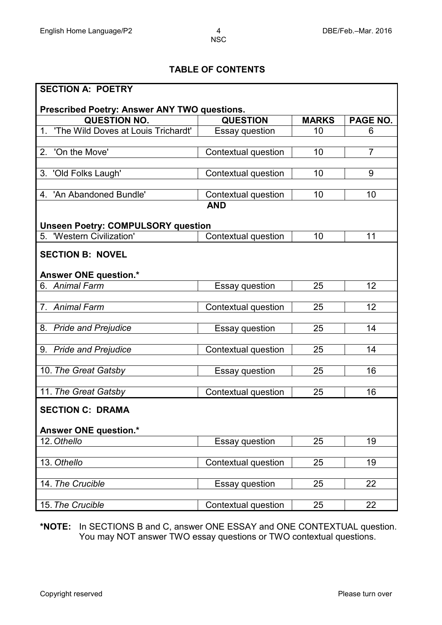#### **TABLE OF CONTENTS**

| <b>SECTION A: POETRY</b>                     |                       |              |                 |  |
|----------------------------------------------|-----------------------|--------------|-----------------|--|
| Prescribed Poetry: Answer ANY TWO questions. |                       |              |                 |  |
| <b>QUESTION NO.</b>                          | <b>QUESTION</b>       | <b>MARKS</b> | <b>PAGE NO.</b> |  |
| 'The Wild Doves at Louis Trichardt'<br>1.    | Essay question        | 10           | 6               |  |
|                                              |                       |              |                 |  |
| 'On the Move'<br>2.                          | Contextual question   | 10           | $\overline{7}$  |  |
|                                              |                       |              |                 |  |
| 3. 'Old Folks Laugh'                         | Contextual question   | 10           | 9               |  |
| 4. 'An Abandoned Bundle'                     | Contextual question   | 10           | 10              |  |
|                                              | <b>AND</b>            |              |                 |  |
|                                              |                       |              |                 |  |
| <b>Unseen Poetry: COMPULSORY question</b>    |                       |              |                 |  |
| 5. Western Civilization'                     | Contextual question   | 10           | 11              |  |
| <b>SECTION B: NOVEL</b>                      |                       |              |                 |  |
|                                              |                       |              |                 |  |
| Answer ONE question.*                        |                       |              |                 |  |
| 6. Animal Farm                               | <b>Essay question</b> | 25           | 12              |  |
|                                              |                       |              |                 |  |
| 7. Animal Farm                               | Contextual question   | 25           | 12              |  |
|                                              |                       |              |                 |  |
| 8.<br><b>Pride and Prejudice</b>             | Essay question        | 25           | 14              |  |
|                                              |                       |              |                 |  |
| 9. Pride and Prejudice                       | Contextual question   | 25           | 14              |  |
| 10. The Great Gatsby                         | Essay question        | 25           | 16              |  |
|                                              |                       |              |                 |  |
| 11. The Great Gatsby                         | Contextual question   | 25           | 16              |  |
|                                              |                       |              |                 |  |
| <b>SECTION C: DRAMA</b>                      |                       |              |                 |  |
| Answer ONE question.*                        |                       |              |                 |  |
| 12. Othello                                  | Essay question        | 25           | 19              |  |
|                                              |                       |              |                 |  |
| 13. Othello                                  | Contextual question   | 25           | 19              |  |
|                                              |                       |              |                 |  |
| 14. The Crucible                             | Essay question        | 25           | 22              |  |
|                                              |                       |              |                 |  |
| 15. The Crucible                             | Contextual question   | 25           | 22              |  |

**\*NOTE:** In SECTIONS B and C, answer ONE ESSAY and ONE CONTEXTUAL question. You may NOT answer TWO essay questions or TWO contextual questions.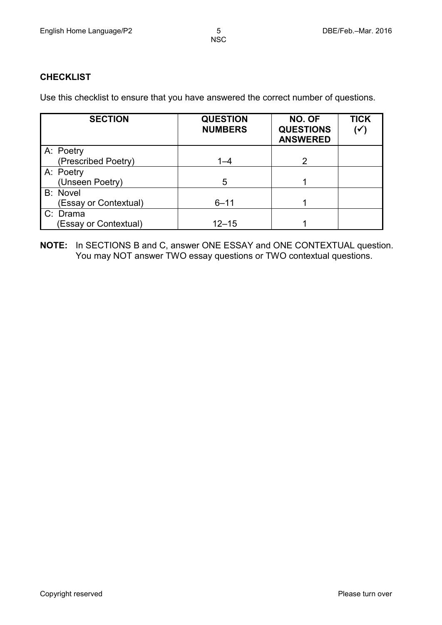# **CHECKLIST**

Use this checklist to ensure that you have answered the correct number of questions.

| <b>SECTION</b>        | <b>QUESTION</b><br><b>NUMBERS</b> | NO. OF<br><b>QUESTIONS</b><br><b>ANSWERED</b> | <b>TICK</b><br>$(\checkmark)$ |
|-----------------------|-----------------------------------|-----------------------------------------------|-------------------------------|
| A: Poetry             |                                   |                                               |                               |
| (Prescribed Poetry)   | $1 - 4$                           | 2                                             |                               |
| A: Poetry             |                                   |                                               |                               |
| (Unseen Poetry)       | 5                                 |                                               |                               |
| <b>B:</b> Novel       |                                   |                                               |                               |
| (Essay or Contextual) | $6 - 11$                          |                                               |                               |
| C: Drama              |                                   |                                               |                               |
| (Essay or Contextual) | $12 - 15$                         |                                               |                               |

**NOTE:** In SECTIONS B and C, answer ONE ESSAY and ONE CONTEXTUAL question. You may NOT answer TWO essay questions or TWO contextual questions.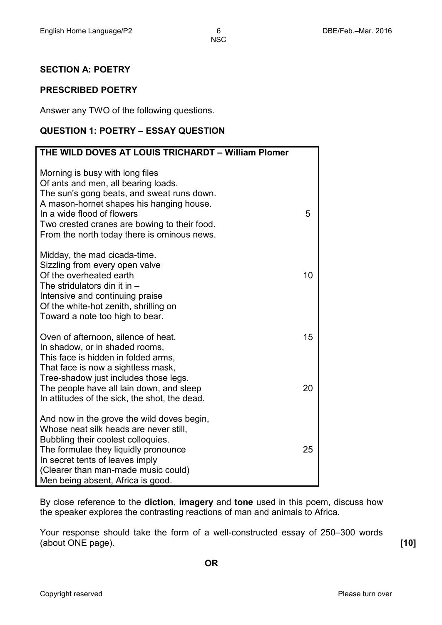#### **SECTION A: POETRY**

#### **PRESCRIBED POETRY**

Answer any TWO of the following questions.

#### **QUESTION 1: POETRY – ESSAY QUESTION**

| THE WILD DOVES AT LOUIS TRICHARDT - William Plomer                                                                                                                                                                                                                                                                                 |          |
|------------------------------------------------------------------------------------------------------------------------------------------------------------------------------------------------------------------------------------------------------------------------------------------------------------------------------------|----------|
| Morning is busy with long files<br>Of ants and men, all bearing loads.<br>The sun's gong beats, and sweat runs down.<br>A mason-hornet shapes his hanging house.<br>In a wide flood of flowers<br>Two crested cranes are bowing to their food.<br>From the north today there is ominous news.                                      | 5        |
| Midday, the mad cicada-time.<br>Sizzling from every open valve<br>Of the overheated earth<br>The stridulators din it in $-$<br>Intensive and continuing praise<br>Of the white-hot zenith, shrilling on<br>Toward a note too high to bear.                                                                                         | 10       |
| Oven of afternoon, silence of heat.<br>In shadow, or in shaded rooms,<br>This face is hidden in folded arms,<br>That face is now a sightless mask,<br>Tree-shadow just includes those legs.<br>The people have all lain down, and sleep                                                                                            | 15<br>20 |
| In attitudes of the sick, the shot, the dead.<br>And now in the grove the wild doves begin,<br>Whose neat silk heads are never still,<br>Bubbling their coolest colloquies.<br>The formulae they liquidly pronounce<br>In secret tents of leaves imply<br>(Clearer than man-made music could)<br>Men being absent, Africa is good. | 25       |

By close reference to the **diction**, **imagery** and **tone** used in this poem, discuss how the speaker explores the contrasting reactions of man and animals to Africa.

Your response should take the form of a well-constructed essay of 250–300 words (about ONE page). **[10]**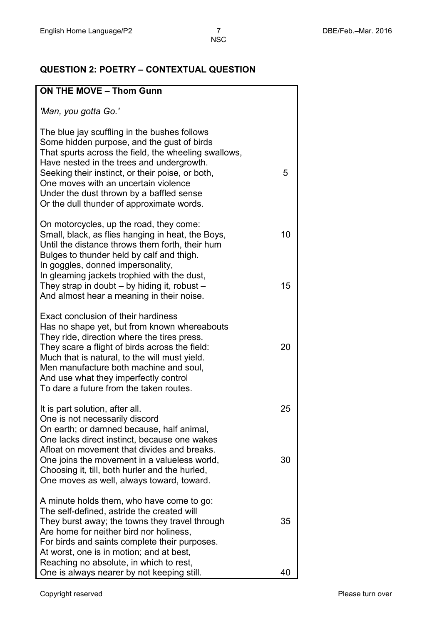# **QUESTION 2: POETRY – CONTEXTUAL QUESTION**

| <b>ON THE MOVE - Thom Gunn</b>                                                                                                                                                                                                                                                                                                                                                       |          |
|--------------------------------------------------------------------------------------------------------------------------------------------------------------------------------------------------------------------------------------------------------------------------------------------------------------------------------------------------------------------------------------|----------|
| 'Man, you gotta Go.'                                                                                                                                                                                                                                                                                                                                                                 |          |
| The blue jay scuffling in the bushes follows<br>Some hidden purpose, and the gust of birds<br>That spurts across the field, the wheeling swallows,<br>Have nested in the trees and undergrowth.<br>Seeking their instinct, or their poise, or both,<br>One moves with an uncertain violence<br>Under the dust thrown by a baffled sense<br>Or the dull thunder of approximate words. | 5        |
| On motorcycles, up the road, they come:<br>Small, black, as flies hanging in heat, the Boys,<br>Until the distance throws them forth, their hum<br>Bulges to thunder held by calf and thigh.<br>In goggles, donned impersonality,<br>In gleaming jackets trophied with the dust,<br>They strap in doubt $-$ by hiding it, robust $-$<br>And almost hear a meaning in their noise.    | 10<br>15 |
| Exact conclusion of their hardiness<br>Has no shape yet, but from known whereabouts<br>They ride, direction where the tires press.<br>They scare a flight of birds across the field:<br>Much that is natural, to the will must yield.<br>Men manufacture both machine and soul,<br>And use what they imperfectly control<br>To dare a future from the taken routes.                  | 20       |
| It is part solution, after all.<br>One is not necessarily discord<br>On earth; or damned because, half animal,<br>One lacks direct instinct, because one wakes<br>Afloat on movement that divides and breaks.<br>One joins the movement in a valueless world,<br>Choosing it, till, both hurler and the hurled,<br>One moves as well, always toward, toward.                         | 25<br>30 |
| A minute holds them, who have come to go:<br>The self-defined, astride the created will<br>They burst away; the towns they travel through<br>Are home for neither bird nor holiness,<br>For birds and saints complete their purposes.<br>At worst, one is in motion; and at best,<br>Reaching no absolute, in which to rest,                                                         | 35       |
| One is always nearer by not keeping still.                                                                                                                                                                                                                                                                                                                                           | 40       |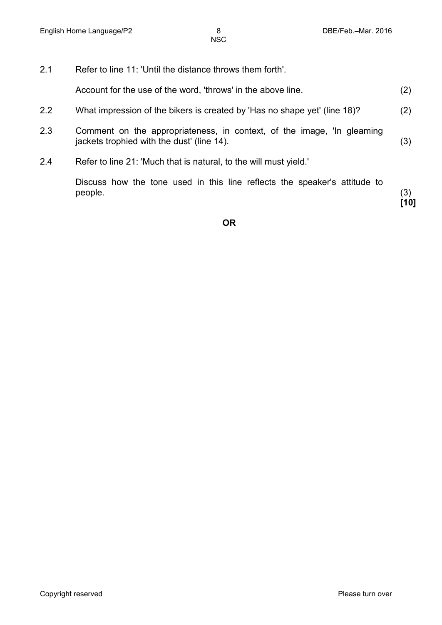2.1 Refer to line 11: 'Until the distance throws them forth'.

Account for the use of the word, 'throws' in the above line. (2)

- 2.2 What impression of the bikers is created by 'Has no shape yet' (line 18)? (2)
- 2.3 Comment on the appropriateness, in context, of the image, 'In gleaming jackets trophied with the dust' (line 14). (3)
- 2.4 Refer to line 21: 'Much that is natural, to the will must yield.'

Discuss how the tone used in this line reflects the speaker's attitude to people. (3) **[10]**

#### **OR**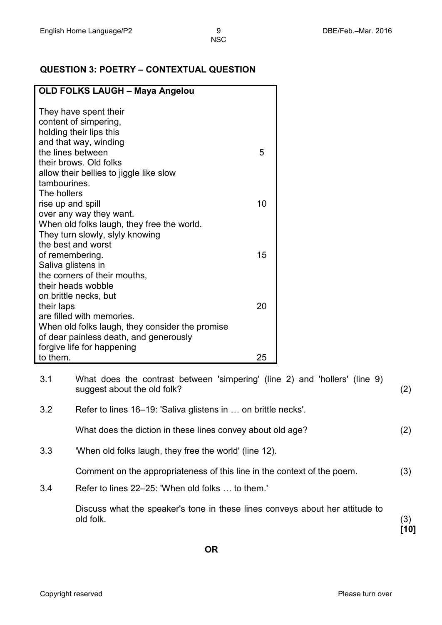#### **QUESTION 3: POETRY – CONTEXTUAL QUESTION**

| <b>OLD FOLKS LAUGH - Maya Angelou</b>                                                                                                                                                        |    |
|----------------------------------------------------------------------------------------------------------------------------------------------------------------------------------------------|----|
| They have spent their<br>content of simpering,<br>holding their lips this<br>and that way, winding<br>the lines between<br>their brows. Old folks<br>allow their bellies to jiggle like slow | 5  |
| tambourines.<br>The hollers<br>rise up and spill<br>over any way they want.<br>When old folks laugh, they free the world.                                                                    | 10 |
| They turn slowly, slyly knowing<br>the best and worst<br>of remembering.<br>Saliva glistens in<br>the corners of their mouths,<br>their heads wobble                                         | 15 |
| on brittle necks, but<br>their laps<br>are filled with memories.<br>When old folks laugh, they consider the promise<br>of dear painless death, and generously                                | 20 |
| forgive life for happening<br>to them.                                                                                                                                                       | 25 |

- 3.1 What does the contrast between 'simpering' (line 2) and 'hollers' (line 9) suggest about the old folk? (2)
- 3.2 Refer to lines 16–19: 'Saliva glistens in … on brittle necks'.

| What does the diction in these lines convey about old age? |  |
|------------------------------------------------------------|--|
|------------------------------------------------------------|--|

3.3 'When old folks laugh, they free the world' (line 12).

Comment on the appropriateness of this line in the context of the poem. (3)

3.4 Refer to lines 22–25: 'When old folks … to them.'

Discuss what the speaker's tone in these lines conveys about her attitude to old folk. (3)

**[10]**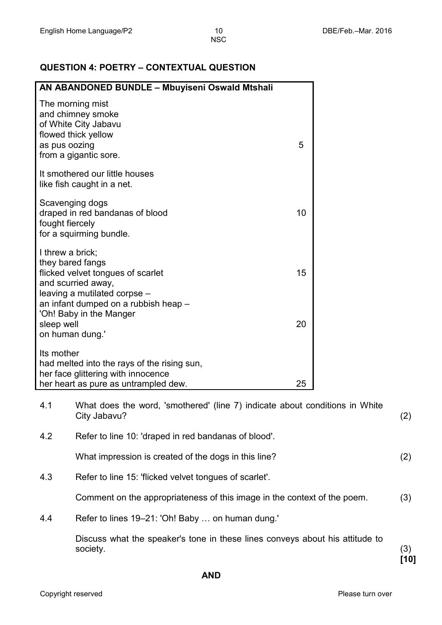#### **QUESTION 4: POETRY – CONTEXTUAL QUESTION**

| AN ABANDONED BUNDLE - Mbuyiseni Oswald Mtshali                                                                                          |    |
|-----------------------------------------------------------------------------------------------------------------------------------------|----|
| The morning mist<br>and chimney smoke<br>of White City Jabavu<br>flowed thick yellow<br>as pus oozing<br>from a gigantic sore.          | 5  |
| It smothered our little houses<br>like fish caught in a net.                                                                            |    |
| Scavenging dogs<br>draped in red bandanas of blood<br>fought fiercely<br>for a squirming bundle.                                        | 10 |
| I threw a brick;<br>they bared fangs<br>flicked velvet tongues of scarlet<br>and scurried away,<br>leaving a mutilated corpse -         | 15 |
| an infant dumped on a rubbish heap -<br>'Oh! Baby in the Manger<br>sleep well<br>on human dung.'                                        | 20 |
| Its mother<br>had melted into the rays of the rising sun,<br>her face glittering with innocence<br>her heart as pure as untrampled dew. | 25 |
| 4.1<br>What does the word, 'smothered' (line 7) indicate about conditions in White<br>City Jabavu?                                      |    |
| Refer to line 10: 'draped in red bandanas of blood'.<br>4.2                                                                             |    |

What impression is created of the dogs in this line? (2)

4.3 Refer to line 15: 'flicked velvet tongues of scarlet'.

Comment on the appropriateness of this image in the context of the poem. (3)

4.4 Refer to lines 19–21: 'Oh! Baby … on human dung.'

Discuss what the speaker's tone in these lines conveys about his attitude to society. (3)

**[10]**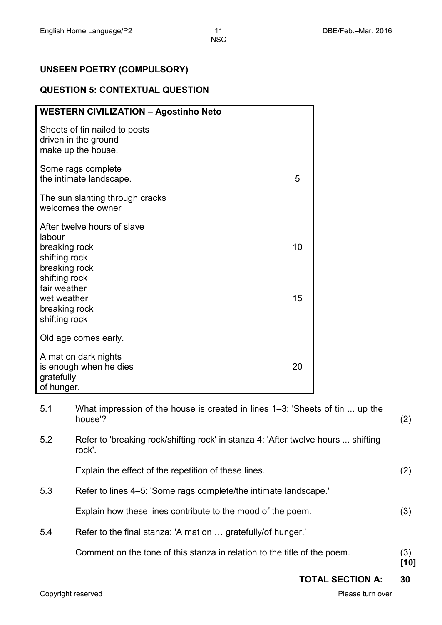# **UNSEEN POETRY (COMPULSORY)**

#### **QUESTION 5: CONTEXTUAL QUESTION**

| <b>WESTERN CIVILIZATION - Agostinho Neto</b>                                                                                                                               |          |
|----------------------------------------------------------------------------------------------------------------------------------------------------------------------------|----------|
| Sheets of tin nailed to posts<br>driven in the ground<br>make up the house.                                                                                                |          |
| Some rags complete<br>the intimate landscape.                                                                                                                              | 5        |
| The sun slanting through cracks<br>welcomes the owner                                                                                                                      |          |
| After twelve hours of slave<br>labour<br>breaking rock<br>shifting rock<br>breaking rock<br>shifting rock<br>fair weather<br>wet weather<br>breaking rock<br>shifting rock | 10<br>15 |
| Old age comes early.                                                                                                                                                       |          |
| A mat on dark nights<br>is enough when he dies<br>gratefully<br>of hunger.                                                                                                 | 20       |

| 5.1 | What impression of the house is created in lines 1–3: 'Sheets of tin  up the<br>house'?     | (2)         |
|-----|---------------------------------------------------------------------------------------------|-------------|
| 5.2 | Refer to 'breaking rock/shifting rock' in stanza 4: 'After twelve hours  shifting<br>rock'. |             |
|     | Explain the effect of the repetition of these lines.                                        | (2)         |
| 5.3 | Refer to lines 4–5: 'Some rags complete/the intimate landscape.'                            |             |
|     | Explain how these lines contribute to the mood of the poem.                                 | (3)         |
| 5.4 | Refer to the final stanza: 'A mat on  gratefully/of hunger.'                                |             |
|     | Comment on the tone of this stanza in relation to the title of the poem.                    | (3)<br>'101 |

**TOTAL SECTION A: 30**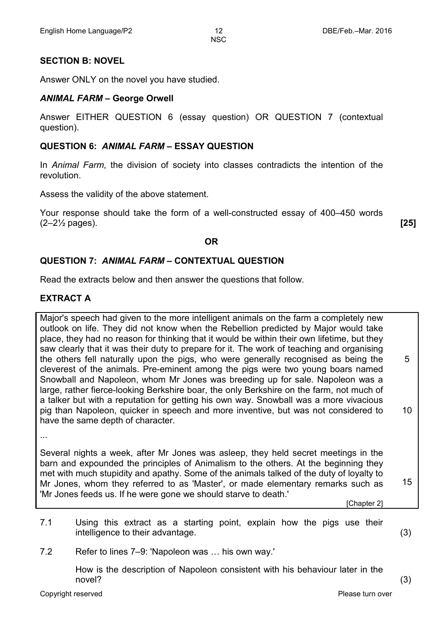#### **SECTION B: NOVEL**

Answer ONLY on the novel you have studied.

#### *ANIMAL FARM* **– George Orwell**

Answer EITHER QUESTION 6 (essay question) OR QUESTION 7 (contextual question).

#### **QUESTION 6:** *ANIMAL FARM* **– ESSAY QUESTION**

In *Animal Farm*, the division of society into classes contradicts the intention of the revolution.

Assess the validity of the above statement.

Your response should take the form of a well-constructed essay of 400–450 words (2–2½ pages). **[25]**

#### **OR**

#### **QUESTION 7:** *ANIMAL FARM* **– CONTEXTUAL QUESTION**

Read the extracts below and then answer the questions that follow.

#### **EXTRACT A**

Major's speech had given to the more intelligent animals on the farm a completely new outlook on life. They did not know when the Rebellion predicted by Major would take place, they had no reason for thinking that it would be within their own lifetime, but they saw clearly that it was their duty to prepare for it. The work of teaching and organising the others fell naturally upon the pigs, who were generally recognised as being the cleverest of the animals. Pre-eminent among the pigs were two young boars named Snowball and Napoleon, whom Mr Jones was breeding up for sale. Napoleon was a large, rather fierce-looking Berkshire boar, the only Berkshire on the farm, not much of a talker but with a reputation for getting his own way. Snowball was a more vivacious pig than Napoleon, quicker in speech and more inventive, but was not considered to have the same depth of character. 5 10

...

Several nights a week, after Mr Jones was asleep, they held secret meetings in the barn and expounded the principles of Animalism to the others. At the beginning they met with much stupidity and apathy. Some of the animals talked of the duty of loyalty to Mr Jones, whom they referred to as 'Master', or made elementary remarks such as 'Mr Jones feeds us. If he were gone we should starve to death.' 15

[Chapter 2]

- 7.1 Using this extract as a starting point, explain how the pigs use their intelligence to their advantage. (3)
- 7.2 Refer to lines 7–9: 'Napoleon was … his own way.'

How is the description of Napoleon consistent with his behaviour later in the novel? (3)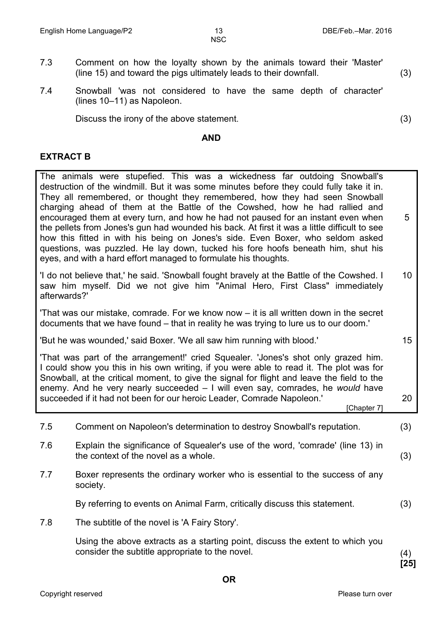- 7.3 Comment on how the loyalty shown by the animals toward their 'Master' (line 15) and toward the pigs ultimately leads to their downfall. (3)
- 7.4 Snowball 'was not considered to have the same depth of character' (lines 10–11) as Napoleon.

Discuss the irony of the above statement. (3)

#### **AND**

#### **EXTRACT B**

The animals were stupefied. This was a wickedness far outdoing Snowball's destruction of the windmill. But it was some minutes before they could fully take it in. They all remembered, or thought they remembered, how they had seen Snowball charging ahead of them at the Battle of the Cowshed, how he had rallied and encouraged them at every turn, and how he had not paused for an instant even when the pellets from Jones's gun had wounded his back. At first it was a little difficult to see how this fitted in with his being on Jones's side. Even Boxer, who seldom asked questions, was puzzled. He lay down, tucked his fore hoofs beneath him, shut his eyes, and with a hard effort managed to formulate his thoughts. 'I do not believe that,' he said. 'Snowball fought bravely at the Battle of the Cowshed. I saw him myself. Did we not give him "Animal Hero, First Class" immediately afterwards?' 'That was our mistake, comrade. For we know now – it is all written down in the secret documents that we have found – that in reality he was trying to lure us to our doom.' 'But he was wounded,' said Boxer. 'We all saw him running with blood.' 'That was part of the arrangement!' cried Squealer. 'Jones's shot only grazed him. I could show you this in his own writing, if you were able to read it. The plot was for Snowball, at the critical moment, to give the signal for flight and leave the field to the enemy. And he very nearly succeeded – I will even say, comrades, he *would* have succeeded if it had not been for our heroic Leader, Comrade Napoleon.' [Chapter 7] 5 10 15 20 7.5 Comment on Napoleon's determination to destroy Snowball's reputation. (3) 7.6 Explain the significance of Squealer's use of the word, 'comrade' (line 13) in the context of the novel as a whole. (3) 7.7 Boxer represents the ordinary worker who is essential to the success of any society. By referring to events on Animal Farm, critically discuss this statement. (3) 7.8 The subtitle of the novel is 'A Fairy Story'. Using the above extracts as a starting point, discuss the extent to which you consider the subtitle appropriate to the novel. (4) **[25]**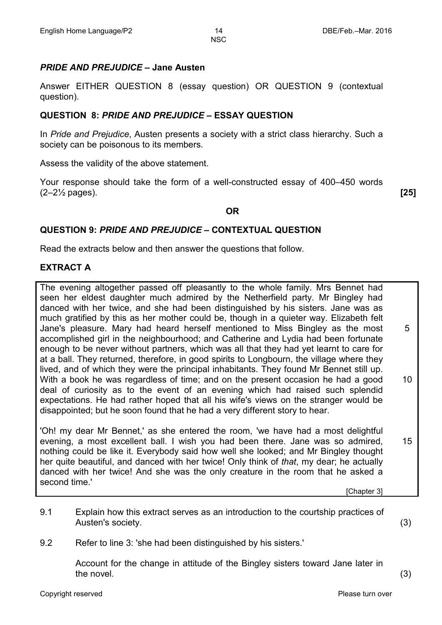#### *PRIDE AND PREJUDICE* **– Jane Austen**

Answer EITHER QUESTION 8 (essay question) OR QUESTION 9 (contextual question).

#### **QUESTION 8:** *PRIDE AND PREJUDICE* **– ESSAY QUESTION**

In *Pride and Prejudice*, Austen presents a society with a strict class hierarchy. Such a society can be poisonous to its members.

Assess the validity of the above statement.

Your response should take the form of a well-constructed essay of 400–450 words (2–2½ pages). **[25]**

#### **OR**

#### **QUESTION 9:** *PRIDE AND PREJUDICE* **– CONTEXTUAL QUESTION**

Read the extracts below and then answer the questions that follow.

#### **EXTRACT A**

The evening altogether passed off pleasantly to the whole family. Mrs Bennet had seen her eldest daughter much admired by the Netherfield party. Mr Bingley had danced with her twice, and she had been distinguished by his sisters. Jane was as much gratified by this as her mother could be, though in a quieter way. Elizabeth felt Jane's pleasure. Mary had heard herself mentioned to Miss Bingley as the most accomplished girl in the neighbourhood; and Catherine and Lydia had been fortunate enough to be never without partners, which was all that they had yet learnt to care for at a ball. They returned, therefore, in good spirits to Longbourn, the village where they lived, and of which they were the principal inhabitants. They found Mr Bennet still up. With a book he was regardless of time; and on the present occasion he had a good deal of curiosity as to the event of an evening which had raised such splendid expectations. He had rather hoped that all his wife's views on the stranger would be disappointed; but he soon found that he had a very different story to hear. 5 10

'Oh! my dear Mr Bennet,' as she entered the room, 'we have had a most delightful evening, a most excellent ball. I wish you had been there. Jane was so admired, nothing could be like it. Everybody said how well she looked; and Mr Bingley thought her quite beautiful, and danced with her twice! Only think of *that*, my dear; he actually danced with her twice! And she was the only creature in the room that he asked a second time.' 15

[Chapter 3]

- 9.1 Explain how this extract serves as an introduction to the courtship practices of Austen's society. (3)
	-

9.2 Refer to line 3: 'she had been distinguished by his sisters.'

Account for the change in attitude of the Bingley sisters toward Jane later in  $\blacksquare$  the novel.  $(3)$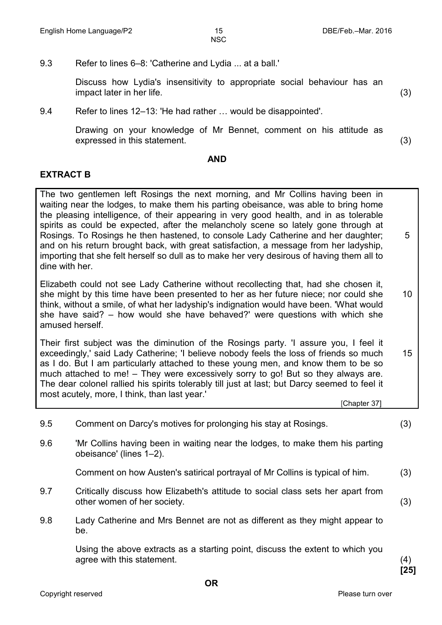9.3 Refer to lines 6–8: 'Catherine and Lydia ... at a ball.'

Discuss how Lydia's insensitivity to appropriate social behaviour has an impact later in her life. (3)

9.4 Refer to lines 12–13: 'He had rather … would be disappointed'.

Drawing on your knowledge of Mr Bennet, comment on his attitude as expressed in this statement. (3)

**AND**

#### **EXTRACT B**

The two gentlemen left Rosings the next morning, and Mr Collins having been in waiting near the lodges, to make them his parting obeisance, was able to bring home the pleasing intelligence, of their appearing in very good health, and in as tolerable spirits as could be expected, after the melancholy scene so lately gone through at Rosings. To Rosings he then hastened, to console Lady Catherine and her daughter; and on his return brought back, with great satisfaction, a message from her ladyship, importing that she felt herself so dull as to make her very desirous of having them all to dine with her. 5

Elizabeth could not see Lady Catherine without recollecting that, had she chosen it, she might by this time have been presented to her as her future niece; nor could she think, without a smile, of what her ladyship's indignation would have been. 'What would she have said? – how would she have behaved?' were questions with which she amused herself. 10

Their first subject was the diminution of the Rosings party. 'I assure you, I feel it exceedingly,' said Lady Catherine; 'I believe nobody feels the loss of friends so much as I do. But I am particularly attached to these young men, and know them to be so much attached to me! – They were excessively sorry to go! But so they always are. The dear colonel rallied his spirits tolerably till just at last; but Darcy seemed to feel it most acutely, more, I think, than last year.' 15

[Chapter 37]

- 9.5 Comment on Darcy's motives for prolonging his stay at Rosings. (3)
- 9.6 'Mr Collins having been in waiting near the lodges, to make them his parting obeisance' (lines 1–2).

Comment on how Austen's satirical portrayal of Mr Collins is typical of him. (3)

- 9.7 Critically discuss how Elizabeth's attitude to social class sets her apart from other women of her society. (3)
- 9.8 Lady Catherine and Mrs Bennet are not as different as they might appear to be.

Using the above extracts as a starting point, discuss the extent to which you agree with this statement. (4) and the statement of the statement of the statement of the statement of the statement of the statement of the statement of the statement of the statement of the statement of the statement of

**[25]**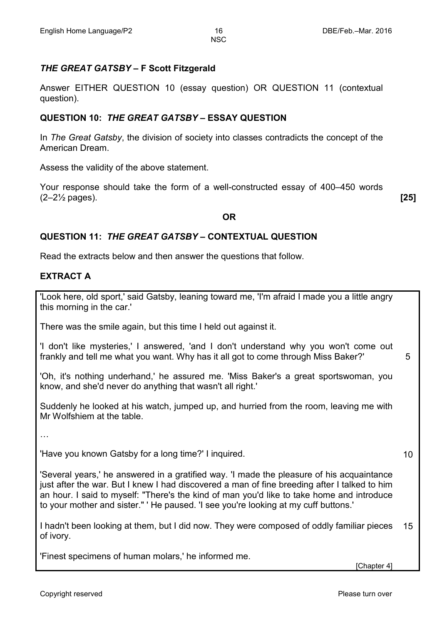# *THE GREAT GATSBY* **– F Scott Fitzgerald**

Answer EITHER QUESTION 10 (essay question) OR QUESTION 11 (contextual question).

### **QUESTION 10:** *THE GREAT GATSBY* **– ESSAY QUESTION**

In *The Great Gatsby*, the division of society into classes contradicts the concept of the American Dream.

Assess the validity of the above statement.

Your response should take the form of a well-constructed essay of 400–450 words (2–2½ pages). **[25]**

**OR**

### **QUESTION 11:** *THE GREAT GATSBY* **– CONTEXTUAL QUESTION**

Read the extracts below and then answer the questions that follow.

#### **EXTRACT A**

'Look here, old sport,' said Gatsby, leaning toward me, 'I'm afraid I made you a little angry this morning in the car.'

There was the smile again, but this time I held out against it.

'I don't like mysteries,' I answered, 'and I don't understand why you won't come out frankly and tell me what you want. Why has it all got to come through Miss Baker?'

'Oh, it's nothing underhand,' he assured me. 'Miss Baker's a great sportswoman, you know, and she'd never do anything that wasn't all right.'

Suddenly he looked at his watch, jumped up, and hurried from the room, leaving me with Mr Wolfshiem at the table.

…

'Have you known Gatsby for a long time?' I inquired.

'Several years,' he answered in a gratified way. 'I made the pleasure of his acquaintance just after the war. But I knew I had discovered a man of fine breeding after I talked to him an hour. I said to myself: "There's the kind of man you'd like to take home and introduce to your mother and sister." ' He paused. 'I see you're looking at my cuff buttons.'

I hadn't been looking at them, but I did now. They were composed of oddly familiar pieces of ivory. 15

'Finest specimens of human molars,' he informed me.

[Chapter 4]

5

10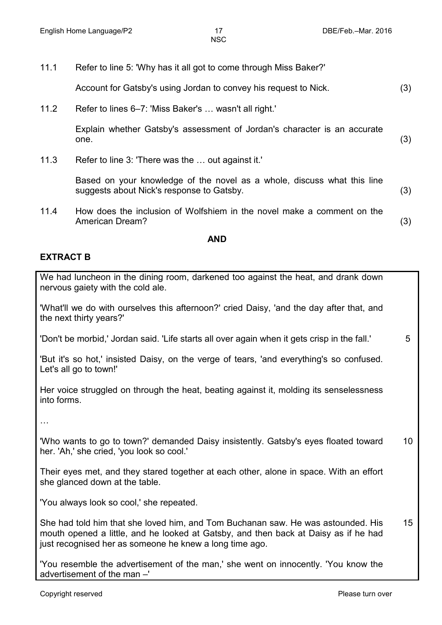11.1 Refer to line 5: 'Why has it all got to come through Miss Baker?'

Account for Gatsby's using Jordan to convey his request to Nick. (3)

11.2 Refer to lines 6–7: 'Miss Baker's … wasn't all right.'

Explain whether Gatsby's assessment of Jordan's character is an accurate  $one.$  (3)

11.3 Refer to line 3: 'There was the … out against it.'

Based on your knowledge of the novel as a whole, discuss what this line suggests about Nick's response to Gatsby. (3)

11.4 How does the inclusion of Wolfshiem in the novel make a comment on the American Dream? (3)

#### **AND**

#### **EXTRACT B**

We had luncheon in the dining room, darkened too against the heat, and drank down nervous gaiety with the cold ale.

'What'll we do with ourselves this afternoon?' cried Daisy, 'and the day after that, and the next thirty years?'

'Don't be morbid,' Jordan said. 'Life starts all over again when it gets crisp in the fall.'

'But it's so hot,' insisted Daisy, on the verge of tears, 'and everything's so confused. Let's all go to town!'

Her voice struggled on through the heat, beating against it, molding its senselessness into forms.

…

'Who wants to go to town?' demanded Daisy insistently. Gatsby's eyes floated toward her. 'Ah,' she cried, 'you look so cool.' 10

Their eyes met, and they stared together at each other, alone in space. With an effort she glanced down at the table.

'You always look so cool,' she repeated.

She had told him that she loved him, and Tom Buchanan saw. He was astounded. His mouth opened a little, and he looked at Gatsby, and then back at Daisy as if he had just recognised her as someone he knew a long time ago. 15

'You resemble the advertisement of the man,' she went on innocently. 'You know the advertisement of the man –'

5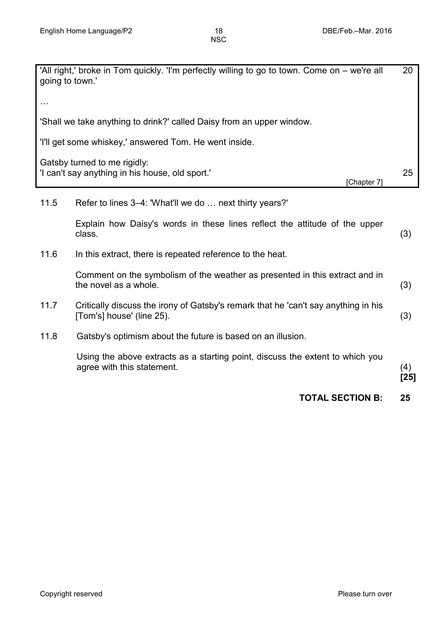| 'All right,' broke in Tom quickly. 'I'm perfectly willing to go to town. Come on – we're all<br>going to town.' |                                                                                                                 |               |  |  |
|-----------------------------------------------------------------------------------------------------------------|-----------------------------------------------------------------------------------------------------------------|---------------|--|--|
| $\cdots$                                                                                                        |                                                                                                                 |               |  |  |
|                                                                                                                 | 'Shall we take anything to drink?' called Daisy from an upper window.                                           |               |  |  |
|                                                                                                                 | 'I'll get some whiskey,' answered Tom. He went inside.                                                          |               |  |  |
| Gatsby turned to me rigidly:<br>'I can't say anything in his house, old sport.'<br>[Chapter 7]                  |                                                                                                                 |               |  |  |
| 11.5                                                                                                            | Refer to lines 3-4: 'What'll we do  next thirty years?'                                                         |               |  |  |
|                                                                                                                 | Explain how Daisy's words in these lines reflect the attitude of the upper<br>class.                            | (3)           |  |  |
| 11.6                                                                                                            | In this extract, there is repeated reference to the heat.                                                       |               |  |  |
|                                                                                                                 | Comment on the symbolism of the weather as presented in this extract and in<br>the novel as a whole.            | (3)           |  |  |
| 11.7                                                                                                            | Critically discuss the irony of Gatsby's remark that he 'can't say anything in his<br>[Tom's] house' (line 25). | (3)           |  |  |
| 11.8                                                                                                            | Gatsby's optimism about the future is based on an illusion.                                                     |               |  |  |
|                                                                                                                 | Using the above extracts as a starting point, discuss the extent to which you<br>agree with this statement.     | (4)<br>$[25]$ |  |  |
|                                                                                                                 | <b>TOTAL SECTION B:</b>                                                                                         | 25            |  |  |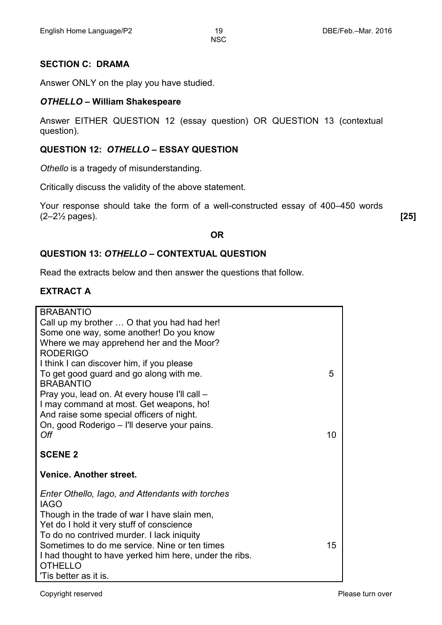#### **SECTION C: DRAMA**

Answer ONLY on the play you have studied.

#### *OTHELLO –* **William Shakespeare**

Answer EITHER QUESTION 12 (essay question) OR QUESTION 13 (contextual question).

#### **QUESTION 12:** *OTHELLO* **– ESSAY QUESTION**

*Othello* is a tragedy of misunderstanding.

Critically discuss the validity of the above statement.

Your response should take the form of a well-constructed essay of 400–450 words (2–2½ pages). **[25]**

#### **OR**

#### **QUESTION 13:** *OTHELLO* **– CONTEXTUAL QUESTION**

Read the extracts below and then answer the questions that follow.

#### **EXTRACT A**

| <b>BRABANTIO</b>                                                                        |    |
|-----------------------------------------------------------------------------------------|----|
| Call up my brother  O that you had had her!                                             |    |
| Some one way, some another! Do you know                                                 |    |
| Where we may apprehend her and the Moor?                                                |    |
| <b>RODERIGO</b>                                                                         |    |
| I think I can discover him, if you please                                               |    |
| To get good guard and go along with me.                                                 | 5  |
| <b>BRABANTIO</b>                                                                        |    |
| Pray you, lead on. At every house I'll call -                                           |    |
| I may command at most. Get weapons, ho!                                                 |    |
| And raise some special officers of night.                                               |    |
| On, good Roderigo - I'll deserve your pains.                                            |    |
| Off                                                                                     | 10 |
|                                                                                         |    |
| <b>SCENE 2</b>                                                                          |    |
| <b>Venice. Another street.</b>                                                          |    |
|                                                                                         |    |
| Enter Othello, lago, and Attendants with torches                                        |    |
| <b>IAGO</b>                                                                             |    |
| Though in the trade of war I have slain men,                                            |    |
| Yet do I hold it very stuff of conscience<br>To do no contrived murder. I lack iniquity |    |
| Sometimes to do me service. Nine or ten times                                           | 15 |
| I had thought to have yerked him here, under the ribs.                                  |    |
| <b>OTHELLO</b>                                                                          |    |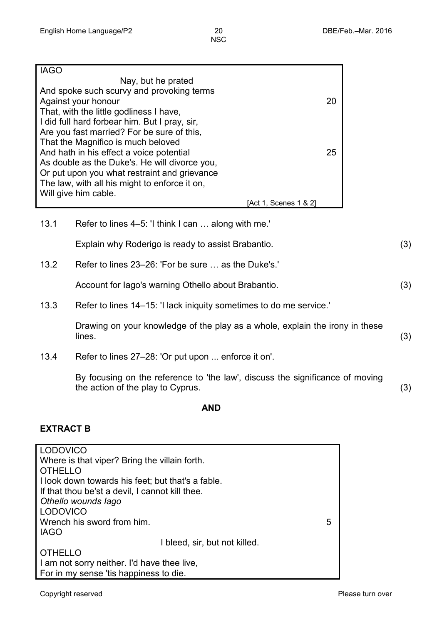| <b>IAGO</b>                                                                                                                                                                           |                                                                                                                    |                       |  |     |
|---------------------------------------------------------------------------------------------------------------------------------------------------------------------------------------|--------------------------------------------------------------------------------------------------------------------|-----------------------|--|-----|
|                                                                                                                                                                                       | Nay, but he prated<br>And spoke such scurvy and provoking terms                                                    | 20                    |  |     |
| Against your honour<br>That, with the little godliness I have,<br>I did full hard forbear him. But I pray, sir,                                                                       |                                                                                                                    |                       |  |     |
|                                                                                                                                                                                       | Are you fast married? For be sure of this,                                                                         |                       |  |     |
| That the Magnifico is much beloved<br>And hath in his effect a voice potential<br>25<br>As double as the Duke's. He will divorce you,<br>Or put upon you what restraint and grievance |                                                                                                                    |                       |  |     |
|                                                                                                                                                                                       | The law, with all his might to enforce it on,<br>Will give him cable.                                              |                       |  |     |
|                                                                                                                                                                                       |                                                                                                                    | [Act 1, Scenes 1 & 2] |  |     |
| 13.1                                                                                                                                                                                  | Refer to lines 4–5: 'I think I can  along with me.'                                                                |                       |  |     |
|                                                                                                                                                                                       | Explain why Roderigo is ready to assist Brabantio.                                                                 |                       |  | (3) |
| 13.2                                                                                                                                                                                  | Refer to lines 23-26: 'For be sure  as the Duke's.'                                                                |                       |  |     |
|                                                                                                                                                                                       | Account for lago's warning Othello about Brabantio.                                                                |                       |  | (3) |
| 13.3                                                                                                                                                                                  | Refer to lines 14–15: 'I lack iniquity sometimes to do me service.'                                                |                       |  |     |
|                                                                                                                                                                                       | Drawing on your knowledge of the play as a whole, explain the irony in these<br>lines.                             |                       |  | (3) |
| 13.4                                                                                                                                                                                  | Refer to lines 27–28: 'Or put upon  enforce it on'.                                                                |                       |  |     |
|                                                                                                                                                                                       | By focusing on the reference to 'the law', discuss the significance of moving<br>the action of the play to Cyprus. |                       |  | (3) |

**AND**

#### **EXTRACT B**

LODOVICO Where is that viper? Bring the villain forth. OTHELLO I look down towards his feet; but that's a fable. If that thou be'st a devil, I cannot kill thee. *Othello wounds Iago* LODOVICO Wrench his sword from him. IAGO I bleed, sir, but not killed. OTHELLO I am not sorry neither. I'd have thee live, For in my sense 'tis happiness to die. 5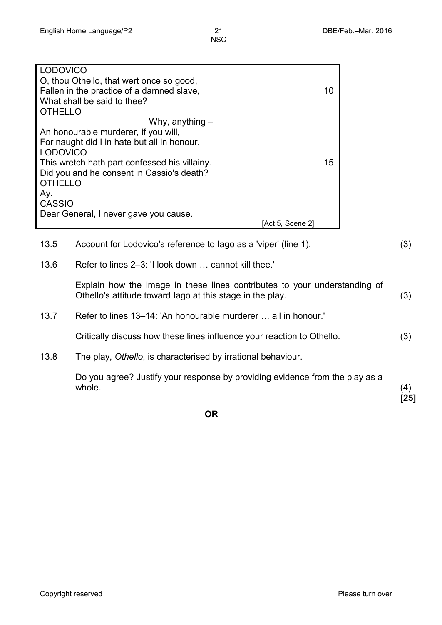| <b>LODOVICO</b><br>O, thou Othello, that wert once so good, |                                                                                                                                        |                  |     |  |
|-------------------------------------------------------------|----------------------------------------------------------------------------------------------------------------------------------------|------------------|-----|--|
| 10<br>Fallen in the practice of a damned slave,             |                                                                                                                                        |                  |     |  |
| What shall be said to thee?                                 |                                                                                                                                        |                  |     |  |
| <b>OTHELLO</b>                                              |                                                                                                                                        |                  |     |  |
|                                                             | Why, anything -                                                                                                                        |                  |     |  |
| An honourable murderer, if you will,                        |                                                                                                                                        |                  |     |  |
| For naught did I in hate but all in honour.                 |                                                                                                                                        |                  |     |  |
| <b>LODOVICO</b>                                             |                                                                                                                                        |                  |     |  |
| 15<br>This wretch hath part confessed his villainy.         |                                                                                                                                        |                  |     |  |
| <b>OTHELLO</b>                                              | Did you and he consent in Cassio's death?                                                                                              |                  |     |  |
| Ay.                                                         |                                                                                                                                        |                  |     |  |
| <b>CASSIO</b>                                               |                                                                                                                                        |                  |     |  |
|                                                             | Dear General, I never gave you cause.                                                                                                  |                  |     |  |
|                                                             |                                                                                                                                        | [Act 5, Scene 2] |     |  |
| 13.5                                                        | Account for Lodovico's reference to lago as a 'viper' (line 1).                                                                        |                  | (3) |  |
| 13.6                                                        | Refer to lines 2-3: 'I look down  cannot kill thee.'                                                                                   |                  |     |  |
|                                                             | Explain how the image in these lines contributes to your understanding of<br>Othello's attitude toward lago at this stage in the play. |                  | (3) |  |
| 13.7                                                        | Refer to lines 13–14: 'An honourable murderer  all in honour.'                                                                         |                  |     |  |
|                                                             | Critically discuss how these lines influence your reaction to Othello.                                                                 |                  | (3) |  |
| 13.8                                                        | The play, Othello, is characterised by irrational behaviour.                                                                           |                  |     |  |
|                                                             | Do you agree? Justify your response by providing evidence from the play as a<br>whole.                                                 |                  | (4) |  |

**OR**

**[25]**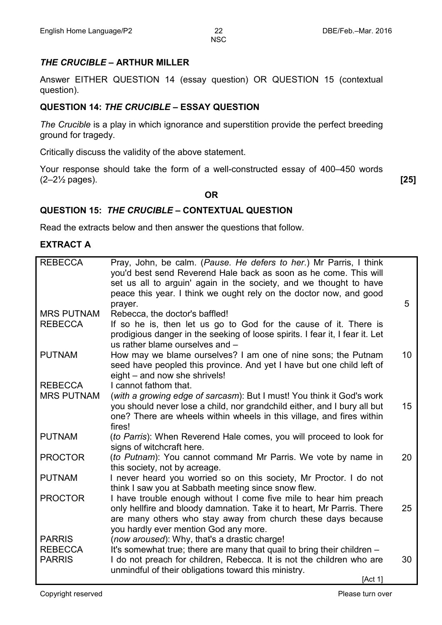### *THE CRUCIBLE* **– ARTHUR MILLER**

Answer EITHER QUESTION 14 (essay question) OR QUESTION 15 (contextual question).

#### **QUESTION 14:** *THE CRUCIBLE* **– ESSAY QUESTION**

*The Crucible* is a play in which ignorance and superstition provide the perfect breeding ground for tragedy.

Critically discuss the validity of the above statement.

Your response should take the form of a well-constructed essay of 400–450 words (2–2½ pages). **[25]**

#### **OR**

#### **QUESTION 15:** *THE CRUCIBLE* **– CONTEXTUAL QUESTION**

Read the extracts below and then answer the questions that follow.

#### **EXTRACT A**

| <b>REBECCA</b>    | Pray, John, be calm. (Pause. He defers to her.) Mr Parris, I think                                    |    |
|-------------------|-------------------------------------------------------------------------------------------------------|----|
|                   | you'd best send Reverend Hale back as soon as he come. This will                                      |    |
|                   | set us all to arguin' again in the society, and we thought to have                                    |    |
|                   | peace this year. I think we ought rely on the doctor now, and good<br>prayer.                         | 5  |
| <b>MRS PUTNAM</b> | Rebecca, the doctor's baffled!                                                                        |    |
| <b>REBECCA</b>    | If so he is, then let us go to God for the cause of it. There is                                      |    |
|                   | prodigious danger in the seeking of loose spirits. I fear it, I fear it. Let                          |    |
|                   | us rather blame ourselves and -                                                                       |    |
| <b>PUTNAM</b>     | How may we blame ourselves? I am one of nine sons; the Putnam                                         | 10 |
|                   | seed have peopled this province. And yet I have but one child left of                                 |    |
|                   | eight – and now she shrivels!                                                                         |    |
| <b>REBECCA</b>    | I cannot fathom that.                                                                                 |    |
| <b>MRS PUTNAM</b> | (with a growing edge of sarcasm): But I must! You think it God's work                                 |    |
|                   | you should never lose a child, nor grandchild either, and I bury all but                              | 15 |
|                   | one? There are wheels within wheels in this village, and fires within<br>fires!                       |    |
| <b>PUTNAM</b>     | (to Parris): When Reverend Hale comes, you will proceed to look for                                   |    |
|                   | signs of witchcraft here.                                                                             |    |
| <b>PROCTOR</b>    | (to Putnam): You cannot command Mr Parris. We vote by name in                                         | 20 |
|                   | this society, not by acreage.                                                                         |    |
| <b>PUTNAM</b>     | I never heard you worried so on this society, Mr Proctor. I do not                                    |    |
|                   | think I saw you at Sabbath meeting since snow flew.                                                   |    |
| <b>PROCTOR</b>    | I have trouble enough without I come five mile to hear him preach                                     |    |
|                   | only hellfire and bloody damnation. Take it to heart, Mr Parris. There                                | 25 |
|                   | are many others who stay away from church these days because<br>you hardly ever mention God any more. |    |
| <b>PARRIS</b>     | (now aroused): Why, that's a drastic charge!                                                          |    |
| <b>REBECCA</b>    | It's somewhat true; there are many that quail to bring their children –                               |    |
| <b>PARRIS</b>     | I do not preach for children, Rebecca. It is not the children who are                                 | 30 |
|                   | unmindful of their obligations toward this ministry.                                                  |    |
|                   | [Act 1]                                                                                               |    |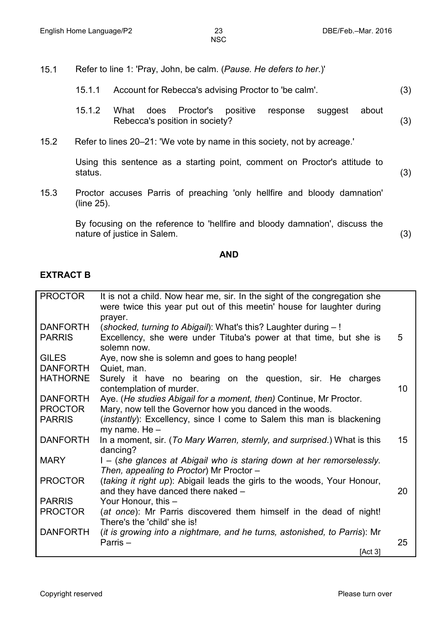- 15.1 Refer to line 1: 'Pray, John, be calm. (*Pause. He defers to her*.)'
	- 15.1.1 Account for Rebecca's advising Proctor to 'be calm'. (3)
	- 15.1.2 What does Proctor's positive response suggest about Rebecca's position in society? (3)
- 15.2 Refer to lines 20–21: 'We vote by name in this society, not by acreage.'

Using this sentence as a starting point, comment on Proctor's attitude to status. (3)

15.3 Proctor accuses Parris of preaching 'only hellfire and bloody damnation' (line 25).

> By focusing on the reference to 'hellfire and bloody damnation', discuss the nature of justice in Salem. (3)

> > **AND**

#### **EXTRACT B**

| <b>PROCTOR</b>  | It is not a child. Now hear me, sir. In the sight of the congregation she<br>were twice this year put out of this meetin' house for laughter during |    |
|-----------------|-----------------------------------------------------------------------------------------------------------------------------------------------------|----|
| <b>DANFORTH</b> | prayer.<br>(shocked, turning to Abigail): What's this? Laughter during -!                                                                           |    |
| <b>PARRIS</b>   | Excellency, she were under Tituba's power at that time, but she is                                                                                  | 5  |
|                 | solemn now.                                                                                                                                         |    |
| <b>GILES</b>    | Aye, now she is solemn and goes to hang people!                                                                                                     |    |
| <b>DANFORTH</b> | Quiet, man.                                                                                                                                         |    |
| <b>HATHORNE</b> | Surely it have no bearing on the question, sir. He charges<br>contemplation of murder.                                                              | 10 |
| <b>DANFORTH</b> | Aye. (He studies Abigail for a moment, then) Continue, Mr Proctor.                                                                                  |    |
| <b>PROCTOR</b>  | Mary, now tell the Governor how you danced in the woods.                                                                                            |    |
| <b>PARRIS</b>   | ( <i>instantly</i> ): Excellency, since I come to Salem this man is blackening<br>my name. He -                                                     |    |
| <b>DANFORTH</b> | In a moment, sir. (To Mary Warren, sternly, and surprised.) What is this<br>dancing?                                                                | 15 |
| <b>MARY</b>     | I – (she glances at Abigail who is staring down at her remorselessly.                                                                               |    |
|                 | Then, appealing to Proctor) Mr Proctor -                                                                                                            |    |
| <b>PROCTOR</b>  | (taking it right up): Abigail leads the girls to the woods, Your Honour,<br>and they have danced there naked -                                      | 20 |
| <b>PARRIS</b>   | Your Honour, this -                                                                                                                                 |    |
| <b>PROCTOR</b>  | (at once): Mr Parris discovered them himself in the dead of night!<br>There's the 'child' she is!                                                   |    |
| <b>DANFORTH</b> | (it is growing into a nightmare, and he turns, astonished, to Parris): Mr                                                                           |    |
|                 | Parris $-$                                                                                                                                          | 25 |
|                 | [Act 3]                                                                                                                                             |    |